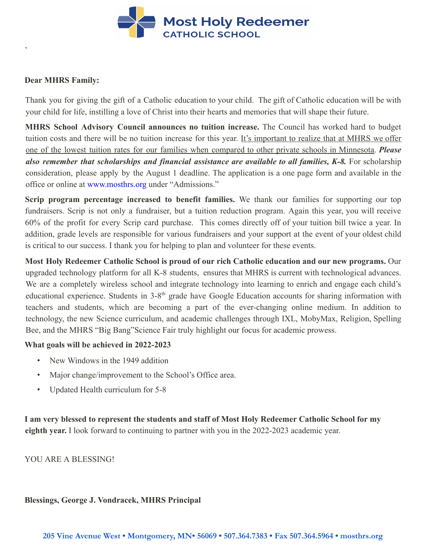

### **Dear MHRS Family:**

**`**

Thank you for giving the gift of a Catholic education to your child. The gift of Catholic education will be with your child for life, instilling a love of Christ into their hearts and memories that will shape their future.

**MHRS School Advisory Council announces no tuition increase.** The Council has worked hard to budget tuition costs and there will be no tuition increase for this year. It's important to realize that at MHRS we offer one of the lowest tuition rates for our families when compared to other private schools in Minnesota. *Please also remember that scholarships and financial assistance are available to all families, K-8.* For scholarship consideration, please apply by the August 1 deadline. The application is a one page form and available in the office or online at [www.mosthrs.org](http://www.mosthrs.org/) under "Admissions."

**Scrip program percentage increased to benefit families.** We thank our families for supporting our top fundraisers. Scrip is not only a fundraiser, but a tuition reduction program. Again this year, you will receive 60% of the profit for every Scrip card purchase. This comes directly off of your tuition bill twice a year. In addition, grade levels are responsible for various fundraisers and your support at the event of your oldest child is critical to our success. I thank you for helping to plan and volunteer for these events.

**Most Holy Redeemer Catholic School is proud of our rich Catholic education and our new programs.** Our upgraded technology platform for all K-8 students, ensures that MHRS is current with technological advances. We are a completely wireless school and integrate technology into learning to enrich and engage each child's educational experience. Students in 3-8<sup>th</sup> grade have Google Education accounts for sharing information with teachers and students, which are becoming a part of the ever-changing online medium. In addition to technology, the new Science curriculum, and academic challenges through IXL, MobyMax, Religion, Spelling Bee, and the MHRS "Big Bang"Science Fair truly highlight our focus for academic prowess.

### **What goals will be achieved in 2022-2023**

- New Windows in the 1949 addition
- Major change/improvement to the School's Office area.
- Updated Health curriculum for 5-8

**I am very blessed to represent the students and staff of Most Holy Redeemer Catholic School for my eighth year.** I look forward to continuing to partner with you in the 2022-2023 academic year.

YOU ARE A BLESSING!

#### **Blessings, George J. Vondracek, MHRS Principal**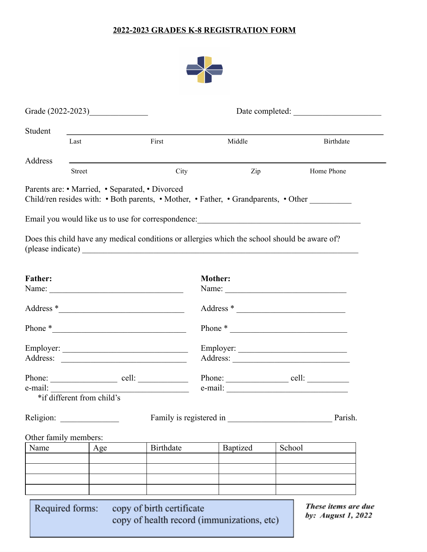### **2022-2023 GRADES K-8 REGISTRATION FORM**



|                               |                            | Grade (2022-2023)                                                                                                     |                           |                |                                            |        |                                                                                     |
|-------------------------------|----------------------------|-----------------------------------------------------------------------------------------------------------------------|---------------------------|----------------|--------------------------------------------|--------|-------------------------------------------------------------------------------------|
| Student                       |                            |                                                                                                                       |                           |                |                                            |        |                                                                                     |
|                               | Last                       |                                                                                                                       | First                     |                | Middle                                     |        | <b>Birthdate</b>                                                                    |
| Address                       |                            |                                                                                                                       |                           |                |                                            |        |                                                                                     |
|                               | <b>Street</b>              |                                                                                                                       | City                      |                | Zip                                        |        | Home Phone                                                                          |
|                               |                            | Parents are: • Married, • Separated, • Divorced                                                                       |                           |                |                                            |        | Child/ren resides with: • Both parents, • Mother, • Father, • Grandparents, • Other |
|                               |                            |                                                                                                                       |                           |                |                                            |        | Email you would like us to use for correspondence: ______________________________   |
|                               |                            | Does this child have any medical conditions or allergies which the school should be aware of?                         |                           |                |                                            |        |                                                                                     |
| <b>Father:</b>                |                            |                                                                                                                       |                           | <b>Mother:</b> |                                            |        |                                                                                     |
|                               |                            |                                                                                                                       |                           |                |                                            |        |                                                                                     |
|                               |                            |                                                                                                                       |                           |                |                                            |        | Address *                                                                           |
|                               |                            | Phone $*$                                                                                                             |                           |                |                                            |        | Phone $*$                                                                           |
|                               |                            |                                                                                                                       |                           |                |                                            |        |                                                                                     |
|                               |                            |                                                                                                                       |                           |                |                                            |        |                                                                                     |
|                               |                            | Phone: <u>cell:</u>                                                                                                   |                           |                |                                            |        |                                                                                     |
| e-mail:                       | *if different from child's | <u> 2008 - Johann John Stein, mars ar yw i brenin y cynnwys y cynnwys y cynnwys y cynnwys y cynnwys y cynnwys y c</u> |                           |                |                                            |        | e-mail:                                                                             |
| Religion:                     |                            |                                                                                                                       |                           |                | Family is registered in                    |        | Parish.                                                                             |
|                               |                            |                                                                                                                       |                           |                |                                            |        |                                                                                     |
| Other family members:<br>Name |                            | Age                                                                                                                   | <b>Birthdate</b>          |                | Baptized                                   | School |                                                                                     |
|                               |                            |                                                                                                                       |                           |                |                                            |        |                                                                                     |
|                               |                            |                                                                                                                       |                           |                |                                            |        |                                                                                     |
|                               |                            |                                                                                                                       |                           |                |                                            |        |                                                                                     |
|                               | Required forms:            |                                                                                                                       | copy of birth certificate |                | copy of health record (immunizations, etc) |        | These items are due<br>by: August 1, 2022                                           |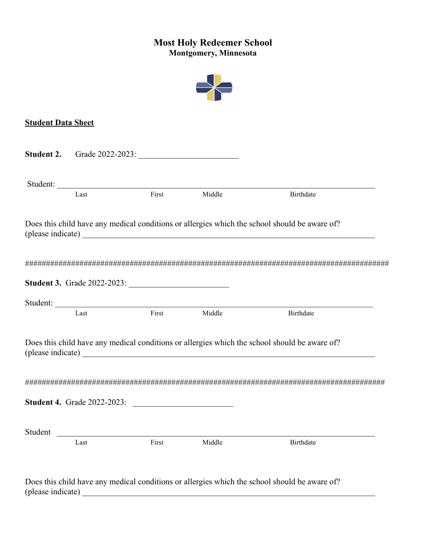# **Most Holy Redeemer School Montgomery, Minnesota**



## **Student Data Sheet**

|         | <b>Student 2.</b> Grade 2022-2023: |        |                                                                                                                                                                                                                                                                                                                                 |
|---------|------------------------------------|--------|---------------------------------------------------------------------------------------------------------------------------------------------------------------------------------------------------------------------------------------------------------------------------------------------------------------------------------|
| Last    | Student:<br>First                  | Middle | Birthdate                                                                                                                                                                                                                                                                                                                       |
|         |                                    |        | Does this child have any medical conditions or allergies which the school should be aware of?                                                                                                                                                                                                                                   |
|         |                                    |        |                                                                                                                                                                                                                                                                                                                                 |
|         |                                    |        |                                                                                                                                                                                                                                                                                                                                 |
|         |                                    |        |                                                                                                                                                                                                                                                                                                                                 |
| Last    | Student:<br>First                  | Middle | Birthdate                                                                                                                                                                                                                                                                                                                       |
|         |                                    |        | Does this child have any medical conditions or allergies which the school should be aware of?<br>(please indicate) expression of the contract of the contract of the contract of the contract of the contract of the contract of the contract of the contract of the contract of the contract of the contract of the contract o |
|         |                                    |        |                                                                                                                                                                                                                                                                                                                                 |
|         | <b>Student 4.</b> Grade 2022-2023: |        |                                                                                                                                                                                                                                                                                                                                 |
| Student |                                    |        |                                                                                                                                                                                                                                                                                                                                 |

(please indicate)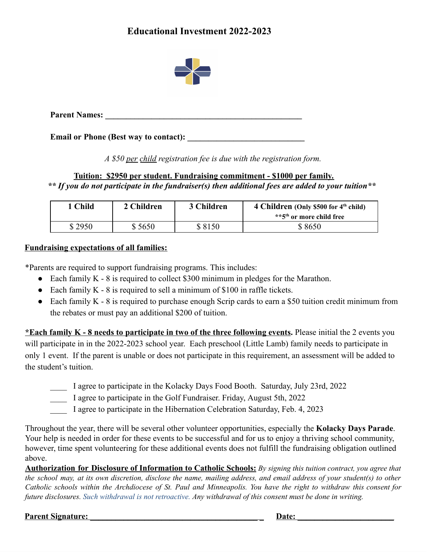# **Educational Investment 2022-2023**



**Parent Names: \_\_\_\_\_\_\_\_\_\_\_\_\_\_\_\_\_\_\_\_\_\_\_\_\_\_\_\_\_\_\_\_\_\_\_\_\_\_\_\_\_\_\_\_\_\_\_**

**Email or Phone (Best way to contact): \_\_\_\_\_\_\_\_\_\_\_\_\_\_\_\_\_\_\_\_\_\_\_\_\_\_\_\_**

*A \$50 per child registration fee is due with the registration form.*

**Tuition: \$2950 per student. Fundraising commitment - \$1000 per family.** *\*\* If you do not participate in the fundraiser(s) then additional fees are added to your tuition\*\**

| 1 Child | 2 Children | 3 Children | 4 Children (Only \$500 for $4th$ child)<br>**5 <sup>th</sup> or more child free |
|---------|------------|------------|---------------------------------------------------------------------------------|
| \$2950  | \$5650     | \$8150     | \$8650                                                                          |

#### **Fundraising expectations of all families:**

\*Parents are required to support fundraising programs. This includes:

- Each family K 8 is required to collect \$300 minimum in pledges for the Marathon.
- Each family  $K 8$  is required to sell a minimum of \$100 in raffle tickets.
- Each family K 8 is required to purchase enough Scrip cards to earn a \$50 tuition credit minimum from the rebates or must pay an additional \$200 of tuition.

**\*Each family K - 8 needs to participate in two of the three following events.** Please initial the 2 events you will participate in in the 2022-2023 school year. Each preschool (Little Lamb) family needs to participate in only 1 event. If the parent is unable or does not participate in this requirement, an assessment will be added to the student's tuition.

- \_\_\_\_ I agree to participate in the Kolacky Days Food Booth. Saturday, July 23rd, 2022
- \_\_\_\_ I agree to participate in the Golf Fundraiser. Friday, August 5th, 2022
- I agree to participate in the Hibernation Celebration Saturday, Feb. 4, 2023

Throughout the year, there will be several other volunteer opportunities, especially the **Kolacky Days Parade**. Your help is needed in order for these events to be successful and for us to enjoy a thriving school community, however, time spent volunteering for these additional events does not fulfill the fundraising obligation outlined above.

Authorization for Disclosure of Information to Catholic Schools: By signing this tuition contract, you agree that the school may, at its own discretion, disclose the name, mailing address, and email address of your student(s) to other Catholic schools within the Archdiocese of St. Paul and Minneapolis. You have the right to withdraw this consent for future disclosures. Such withdrawal is not retroactive. Any withdrawal of this consent must be done in writing.

#### **Parent Signature: Date: Date: Date: Date: Date: Date: Date: Date: Date: Date: Date: Date: Date: Date: Date: Date: Date: Date: Date: Date: Date: Date: Date: Date: Date: D**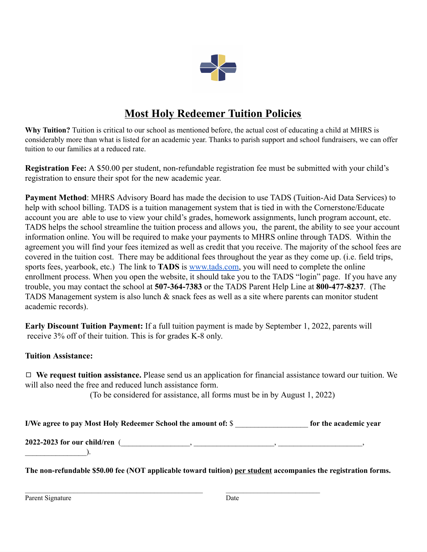

# **Most Holy Redeemer Tuition Policies**

**Why Tuition?** Tuition is critical to our school as mentioned before, the actual cost of educating a child at MHRS is considerably more than what is listed for an academic year. Thanks to parish support and school fundraisers, we can offer tuition to our families at a reduced rate.

**Registration Fee:** A \$50.00 per student, non-refundable registration fee must be submitted with your child's registration to ensure their spot for the new academic year.

**Payment Method**: MHRS Advisory Board has made the decision to use TADS (Tuition-Aid Data Services) to help with school billing. TADS is a tuition management system that is tied in with the Cornerstone/Educate account you are able to use to view your child's grades, homework assignments, lunch program account, etc. TADS helps the school streamline the tuition process and allows you, the parent, the ability to see your account information online. You will be required to make your payments to MHRS online through TADS. Within the agreement you will find your fees itemized as well as credit that you receive. The majority of the school fees are covered in the tuition cost. There may be additional fees throughout the year as they come up. (i.e. field trips, sports fees, yearbook, etc.) The link to **TADS** is [www.tads.com,](http://www.tads.com/) you will need to complete the online enrollment process. When you open the website, it should take you to the TADS "login" page. If you have any trouble, you may contact the school at **507-364-7383** or the TADS Parent Help Line at **800-477-8237**. (The TADS Management system is also lunch & snack fees as well as a site where parents can monitor student academic records).

**Early Discount Tuition Payment:** If a full tuition payment is made by September 1, 2022, parents will receive 3% off of their tuition. This is for grades K-8 only.

### **Tuition Assistance:**

◻ **We request tuition assistance.** Please send us an application for financial assistance toward our tuition. We will also need the free and reduced lunch assistance form.

(To be considered for assistance, all forms must be in by August 1, 2022)

| for the academic year |
|-----------------------|
|                       |
|                       |

**The non-refundable \$50.00 fee (NOT applicable toward tuition) per student accompanies the registration forms.**

 $\mathcal{L}_\mathcal{L} = \{ \mathcal{L}_\mathcal{L} = \{ \mathcal{L}_\mathcal{L} = \{ \mathcal{L}_\mathcal{L} = \{ \mathcal{L}_\mathcal{L} = \{ \mathcal{L}_\mathcal{L} = \{ \mathcal{L}_\mathcal{L} = \{ \mathcal{L}_\mathcal{L} = \{ \mathcal{L}_\mathcal{L} = \{ \mathcal{L}_\mathcal{L} = \{ \mathcal{L}_\mathcal{L} = \{ \mathcal{L}_\mathcal{L} = \{ \mathcal{L}_\mathcal{L} = \{ \mathcal{L}_\mathcal{L} = \{ \mathcal{L}_\mathcal{$ 

Parent Signature Date